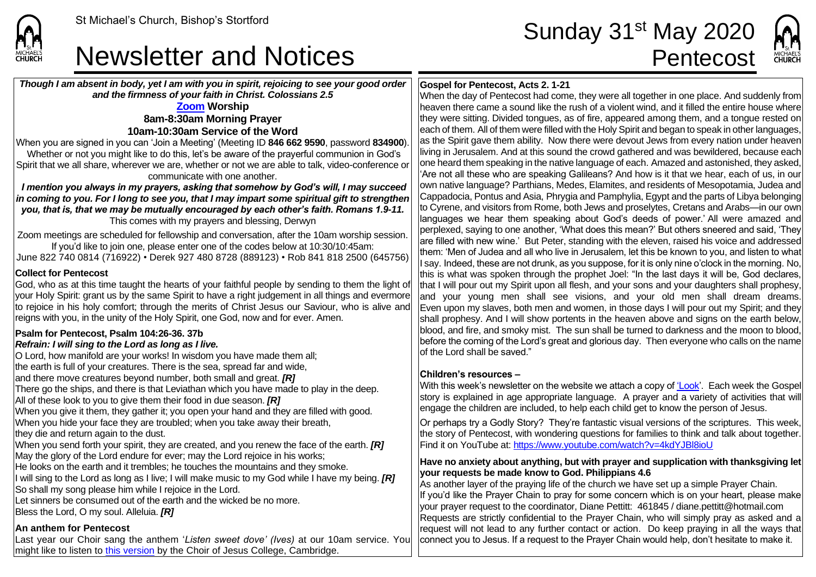## Newsletter and Notices **Pentecost**

#### *Though I am absent in body, yet I am with you in spirit, rejoicing to see your good order and the firmness of your faith in Christ. Colossians 2.5*

#### **[Zoom](https://zoom.us/) Worship 8am-8:30am Morning Prayer 10am-10:30am Service of the Word**

When you are signed in you can 'Join a Meeting' (Meeting ID **846 662 9590**, password **834900**). Whether or not you might like to do this, let's be aware of the prayerful communion in God's Spirit that we all share, wherever we are, whether or not we are able to talk, video-conference or communicate with one another.

*I mention you always in my prayers, asking that somehow by God's will, I may succeed in coming to you. For I long to see you, that I may impart some spiritual gift to strengthen you, that is, that we may be mutually encouraged by each other's faith. Romans 1.9-11.* This comes with my prayers and blessing, Derwyn

Zoom meetings are scheduled for fellowship and conversation, after the 10am worship session.

If you'd like to join one, please enter one of the codes below at 10:30/10:45am: June 822 740 0814 (716922) • Derek 927 480 8728 (889123) • Rob 841 818 2500 (645756)

### **Collect for Pentecost**

**CHURCH** 

God, who as at this time taught the hearts of your faithful people by sending to them the light of your Holy Spirit: grant us by the same Spirit to have a right judgement in all things and evermore to rejoice in his holy comfort; through the merits of Christ Jesus our Saviour, who is alive and reigns with you, in the unity of the Holy Spirit, one God, now and for ever. Amen.

#### **Psalm for Pentecost, Psalm 104:26-36. 37b** *Refrain: I will sing to the Lord as long as I live.*

O Lord, how manifold are your works! In wisdom you have made them all; the earth is full of your creatures. There is the sea, spread far and wide, and there move creatures beyond number, both small and great. *[R]* There go the ships, and there is that Leviathan which you have made to play in the deep. All of these look to you to give them their food in due season. *[R]* When you give it them, they gather it; you open your hand and they are filled with good. When you hide your face they are troubled; when you take away their breath, they die and return again to the dust. When you send forth your spirit, they are created, and you renew the face of the earth. *[R]* May the glory of the Lord endure for ever; may the Lord rejoice in his works; He looks on the earth and it trembles; he touches the mountains and they smoke. If will sing to the Lord as long as I live; I will make music to my God while I have my being. **[R]** So shall my song please him while I rejoice in the Lord. Let sinners be consumed out of the earth and the wicked be no more. Bless the Lord, O my soul. Alleluia. *[R]*

#### **An anthem for Pentecost**

Last year our Choir sang the anthem '*Listen sweet dove' (Ives)* at our 10am service. You might like to listen to [this version](https://www.youtube.com/watch?v=8w1ldlOn27w) by the Choir of Jesus College, Cambridge.

#### **Gospel for Pentecost, Acts 2. 1-21**

When the day of Pentecost had come, they were all together in one place. And suddenly from heaven there came a sound like the rush of a violent wind, and it filled the entire house where they were sitting. Divided tongues, as of fire, appeared among them, and a tongue rested on each of them. All of them were filled with the Holy Spirit and began to speak in other languages, as the Spirit gave them ability. Now there were devout Jews from every nation under heaven living in Jerusalem. And at this sound the crowd gathered and was bewildered, because each one heard them speaking in the native language of each. Amazed and astonished, they asked, 'Are not all these who are speaking Galileans? And how is it that we hear, each of us, in our own native language? Parthians, Medes, Elamites, and residents of Mesopotamia, Judea and Cappadocia, Pontus and Asia, Phrygia and Pamphylia, Egypt and the parts of Libya belonging to Cyrene, and visitors from Rome, both Jews and proselytes, Cretans and Arabs—in our own languages we hear them speaking about God's deeds of power.' All were amazed and perplexed, saying to one another, 'What does this mean?' But others sneered and said, 'They are filled with new wine.' But Peter, standing with the eleven, raised his voice and addressed them: 'Men of Judea and all who live in Jerusalem, let this be known to you, and listen to what I say. Indeed, these are not drunk, as you suppose, for it is only nine o'clock in the morning. No, this is what was spoken through the prophet Joel: "In the last days it will be, God declares, that I will pour out my Spirit upon all flesh, and your sons and your daughters shall prophesy, and your young men shall see visions, and your old men shall dream dreams. Even upon my slaves, both men and women, in those days I will pour out my Spirit; and they shall prophesy. And I will show portents in the heaven above and signs on the earth below, blood, and fire, and smoky mist. The sun shall be turned to darkness and the moon to blood, before the coming of the Lord's great and glorious day. Then everyone who calls on the name of the Lord shall be saved."

#### **Children's resources –**

With this week's newsletter on the website we attach a copy o[f 'Look'.](https://saintmichaelweb.org.uk/Articles/542815/_Newsletter.aspx) Each week the Gospel story is explained in age appropriate language. A prayer and a variety of activities that will engage the children are included, to help each child get to know the person of Jesus.

Or perhaps try a Godly Story? They're fantastic visual versions of the scriptures. This week, the story of Pentecost, with wondering questions for families to think and talk about together. Find it on YouTube at[: https://www.youtube.com/watch?v=4kdYJBl8ioU](https://www.youtube.com/watch?v=4kdYJBl8ioU)

#### **Have no anxiety about anything, but with prayer and supplication with thanksgiving let your requests be made know to God. Philippians 4.6**

As another layer of the praying life of the church we have set up a simple Prayer Chain. If you'd like the Prayer Chain to pray for some concern which is on your heart, please make your prayer request to the coordinator, Diane Pettitt: 461845 / diane.pettitt@hotmail.com Requests are strictly confidential to the Prayer Chain, who will simply pray as asked and a request will not lead to any further contact or action. Do keep praying in all the ways that connect you to Jesus. If a request to the Prayer Chain would help, don't hesitate to make it.